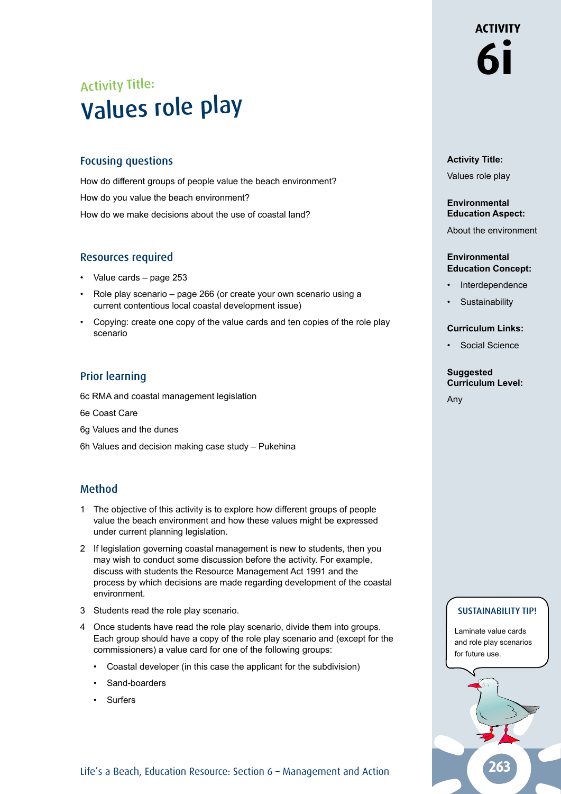## Activity Title: Values role play

## Focusing questions

How do different groups of people value the beach environment? How do you value the beach environment? How do we make decisions about the use of coastal land?

## Resources required

- Value cards page 253
- Role play scenario page 266 (or create your own scenario using a current contentious local coastal development issue)
- Copying: create one copy of the value cards and ten copies of the role play scenario

## Prior learning

6c RMA and coastal management legislation

6e Coast Care

6g Values and the dunes

6h Values and decision making case study – Pukehina

## Method

- 1 The objective of this activity is to explore how different groups of people value the beach environment and how these values might be expressed under current planning legislation.
- 2 If legislation governing coastal management is new to students, then you may wish to conduct some discussion before the activity. For example, discuss with students the Resource Management Act 1991 and the process by which decisions are made regarding development of the coastal environment.
- 3 Students read the role play scenario.
- 4 Once students have read the role play scenario, divide them into groups. Each group should have a copy of the role play scenario and (except for the commissioners) a value card for one of the following groups:
	- Coastal developer (in this case the applicant for the subdivision)
	- Sand-boarders
	- Surfers

## **Activity Title:**

**6i**

**ACTIVITY** 

Values role play

#### **Environmental Education Aspect:**

About the environment

#### **Environmental Education Concept:**

- **Interdependence**
- **Sustainability**

#### **Curriculum Links:**

• Social Science

#### **Suggested Curriculum Level:**

Any

### SUSTAINABILITY TIP!

Laminate value cards and role play scenarios for future use.



Life's a Beach, Education Resource: Section 6 - Management and Action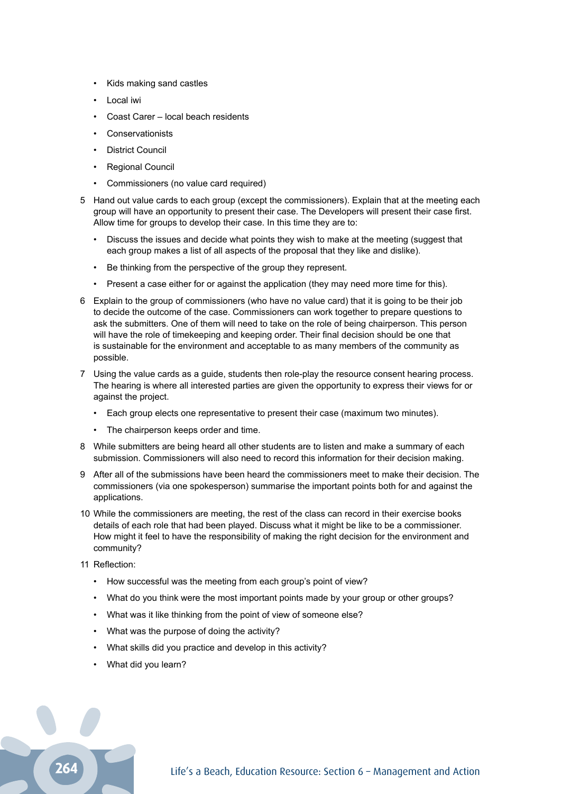- Kids making sand castles
- Local iwi
- Coast Carer local beach residents
- Conservationists
- District Council
- Regional Council
- Commissioners (no value card required)
- 5 Hand out value cards to each group (except the commissioners). Explain that at the meeting each group will have an opportunity to present their case. The Developers will present their case first. Allow time for groups to develop their case. In this time they are to:
	- Discuss the issues and decide what points they wish to make at the meeting (suggest that each group makes a list of all aspects of the proposal that they like and dislike).
	- Be thinking from the perspective of the group they represent.
	- Present a case either for or against the application (they may need more time for this).
- 6 Explain to the group of commissioners (who have no value card) that it is going to be their job to decide the outcome of the case. Commissioners can work together to prepare questions to ask the submitters. One of them will need to take on the role of being chairperson. This person will have the role of timekeeping and keeping order. Their final decision should be one that is sustainable for the environment and acceptable to as many members of the community as possible.
- 7 Using the value cards as a guide, students then role-play the resource consent hearing process. The hearing is where all interested parties are given the opportunity to express their views for or against the project.
	- Each group elects one representative to present their case (maximum two minutes).
	- The chairperson keeps order and time.
- 8 While submitters are being heard all other students are to listen and make a summary of each submission. Commissioners will also need to record this information for their decision making.
- 9 After all of the submissions have been heard the commissioners meet to make their decision. The commissioners (via one spokesperson) summarise the important points both for and against the applications.
- 10 While the commissioners are meeting, the rest of the class can record in their exercise books details of each role that had been played. Discuss what it might be like to be a commissioner. How might it feel to have the responsibility of making the right decision for the environment and community?
- 11 Reflection:
	- How successful was the meeting from each group's point of view?
	- What do you think were the most important points made by your group or other groups?
	- What was it like thinking from the point of view of someone else?
	- What was the purpose of doing the activity?
	- What skills did you practice and develop in this activity?
	- What did you learn?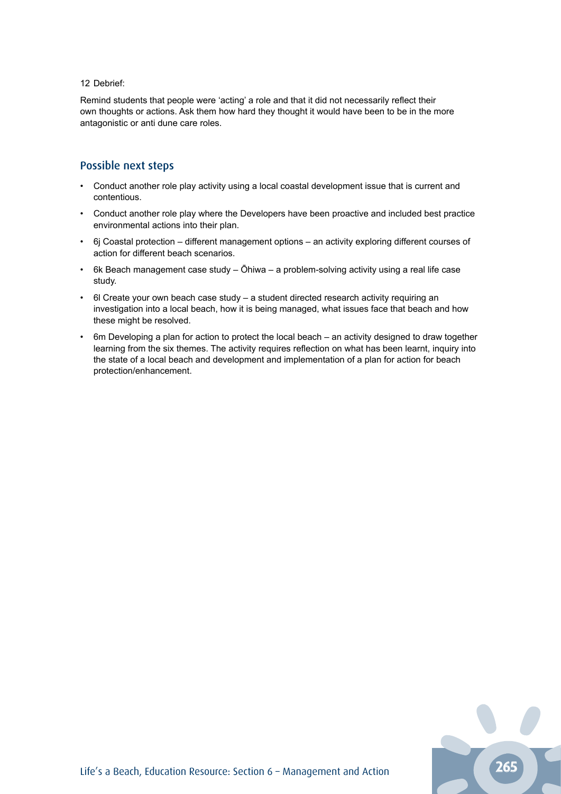#### 12 Debrief:

Remind students that people were 'acting' a role and that it did not necessarily reflect their own thoughts or actions. Ask them how hard they thought it would have been to be in the more antagonistic or anti dune care roles.

### Possible next steps

- Conduct another role play activity using a local coastal development issue that is current and contentious.
- Conduct another role play where the Developers have been proactive and included best practice environmental actions into their plan.
- 6j Coastal protection different management options an activity exploring different courses of action for different beach scenarios.
- 6k Beach management case study Ōhiwa a problem-solving activity using a real life case study.
- 6l Create your own beach case study a student directed research activity requiring an investigation into a local beach, how it is being managed, what issues face that beach and how these might be resolved.
- 6m Developing a plan for action to protect the local beach an activity designed to draw together learning from the six themes. The activity requires reflection on what has been learnt, inquiry into the state of a local beach and development and implementation of a plan for action for beach protection/enhancement.